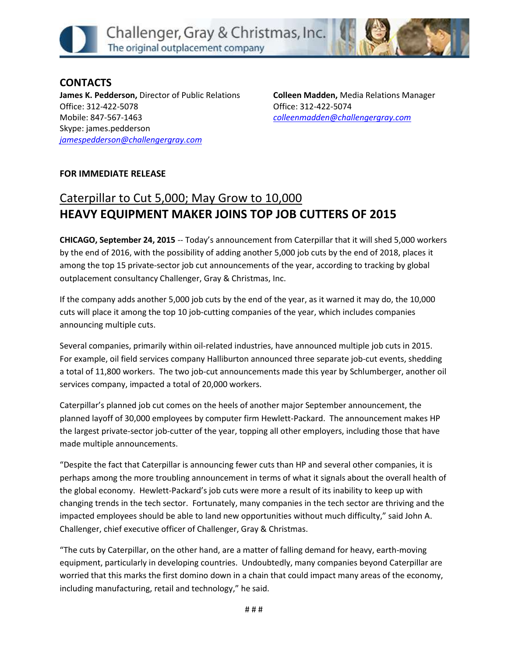

**CONTACTS James K. Pedderson,** Director of Public Relations Office: 312-422-5078 Mobile: 847-567-1463 Skype: james.pedderson *[jamespedderson@challengergray.com](mailto:jamespedderson@challengergray.com)*

**Colleen Madden,** Media Relations Manager Office: 312-422-5074 *[colleenmadden@challengergray.com](mailto:colleenmadden@challengergray.com)*

## **FOR IMMEDIATE RELEASE**

## Caterpillar to Cut 5,000; May Grow to 10,000 **HEAVY EQUIPMENT MAKER JOINS TOP JOB CUTTERS OF 2015**

**CHICAGO, September 24, 2015** -- Today's announcement from Caterpillar that it will shed 5,000 workers by the end of 2016, with the possibility of adding another 5,000 job cuts by the end of 2018, places it among the top 15 private-sector job cut announcements of the year, according to tracking by global outplacement consultancy Challenger, Gray & Christmas, Inc.

If the company adds another 5,000 job cuts by the end of the year, as it warned it may do, the 10,000 cuts will place it among the top 10 job-cutting companies of the year, which includes companies announcing multiple cuts.

Several companies, primarily within oil-related industries, have announced multiple job cuts in 2015. For example, oil field services company Halliburton announced three separate job-cut events, shedding a total of 11,800 workers. The two job-cut announcements made this year by Schlumberger, another oil services company, impacted a total of 20,000 workers.

Caterpillar's planned job cut comes on the heels of another major September announcement, the planned layoff of 30,000 employees by computer firm Hewlett-Packard. The announcement makes HP the largest private-sector job-cutter of the year, topping all other employers, including those that have made multiple announcements.

"Despite the fact that Caterpillar is announcing fewer cuts than HP and several other companies, it is perhaps among the more troubling announcement in terms of what it signals about the overall health of the global economy. Hewlett-Packard's job cuts were more a result of its inability to keep up with changing trends in the tech sector. Fortunately, many companies in the tech sector are thriving and the impacted employees should be able to land new opportunities without much difficulty," said John A. Challenger, chief executive officer of Challenger, Gray & Christmas.

"The cuts by Caterpillar, on the other hand, are a matter of falling demand for heavy, earth-moving equipment, particularly in developing countries. Undoubtedly, many companies beyond Caterpillar are worried that this marks the first domino down in a chain that could impact many areas of the economy, including manufacturing, retail and technology," he said.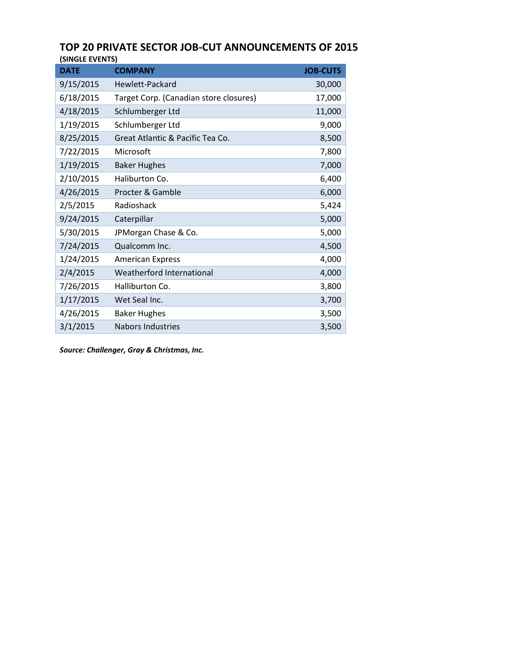## **TOP 20 PRIVATE SECTOR JOB-CUT ANNOUNCEMENTS OF 2015 (SINGLE EVENTS)**

| <b>DATE</b> | <b>COMPANY</b>                         | <b>JOB-CUTS</b> |
|-------------|----------------------------------------|-----------------|
| 9/15/2015   | Hewlett-Packard                        | 30,000          |
| 6/18/2015   | Target Corp. (Canadian store closures) | 17,000          |
| 4/18/2015   | Schlumberger Ltd                       | 11,000          |
| 1/19/2015   | Schlumberger Ltd                       | 9,000           |
| 8/25/2015   | Great Atlantic & Pacific Tea Co.       | 8,500           |
| 7/22/2015   | Microsoft                              | 7,800           |
| 1/19/2015   | <b>Baker Hughes</b>                    | 7,000           |
| 2/10/2015   | Haliburton Co.                         | 6,400           |
| 4/26/2015   | Procter & Gamble                       | 6,000           |
| 2/5/2015    | Radioshack                             | 5,424           |
| 9/24/2015   | Caterpillar                            | 5,000           |
| 5/30/2015   | JPMorgan Chase & Co.                   | 5,000           |
| 7/24/2015   | Qualcomm Inc.                          | 4,500           |
| 1/24/2015   | <b>American Express</b>                | 4,000           |
| 2/4/2015    | Weatherford International              | 4,000           |
| 7/26/2015   | Halliburton Co.                        | 3,800           |
| 1/17/2015   | Wet Seal Inc.                          | 3,700           |
| 4/26/2015   | <b>Baker Hughes</b>                    | 3,500           |
| 3/1/2015    | <b>Nabors Industries</b>               | 3,500           |

*Source: Challenger, Gray & Christmas, Inc.*